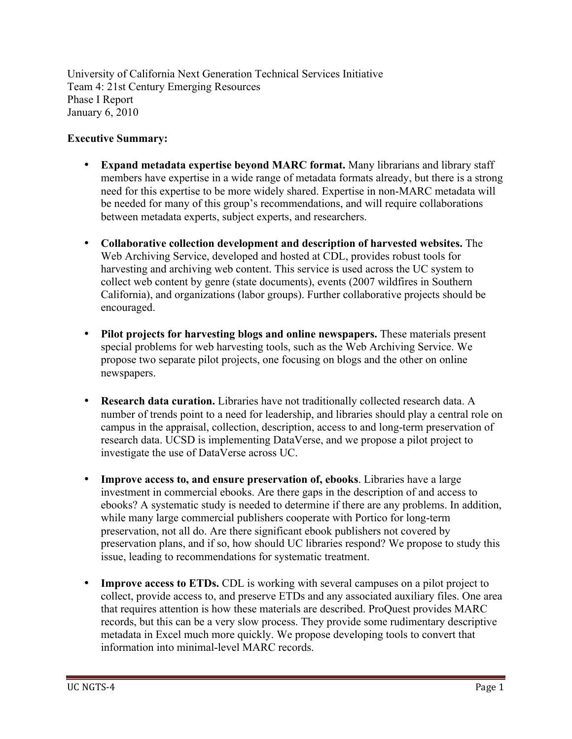University of California Next Generation Technical Services Initiative Team 4: 21st Century Emerging Resources Phase I Report January 6, 2010

#### **Executive Summary:**

- **Expand metadata expertise beyond MARC format.** Many librarians and library staff members have expertise in a wide range of metadata formats already, but there is a strong need for this expertise to be more widely shared. Expertise in non-MARC metadata will be needed for many of this group's recommendations, and will require collaborations between metadata experts, subject experts, and researchers.
- **Collaborative collection development and description of harvested websites.** The Web Archiving Service, developed and hosted at CDL, provides robust tools for harvesting and archiving web content. This service is used across the UC system to collect web content by genre (state documents), events (2007 wildfires in Southern California), and organizations (labor groups). Further collaborative projects should be encouraged.
- **Pilot projects for harvesting blogs and online newspapers.** These materials present special problems for web harvesting tools, such as the Web Archiving Service. We propose two separate pilot projects, one focusing on blogs and the other on online newspapers.
- **Research data curation.** Libraries have not traditionally collected research data. A number of trends point to a need for leadership, and libraries should play a central role on campus in the appraisal, collection, description, access to and long-term preservation of research data. UCSD is implementing DataVerse, and we propose a pilot project to investigate the use of DataVerse across UC.
- **Improve access to, and ensure preservation of, ebooks**. Libraries have a large investment in commercial ebooks. Are there gaps in the description of and access to ebooks? A systematic study is needed to determine if there are any problems. In addition, while many large commercial publishers cooperate with Portico for long-term preservation, not all do. Are there significant ebook publishers not covered by preservation plans, and if so, how should UC libraries respond? We propose to study this issue, leading to recommendations for systematic treatment.
- **Improve access to ETDs.** CDL is working with several campuses on a pilot project to collect, provide access to, and preserve ETDs and any associated auxiliary files. One area that requires attention is how these materials are described. ProQuest provides MARC records, but this can be a very slow process. They provide some rudimentary descriptive metadata in Excel much more quickly. We propose developing tools to convert that information into minimal-level MARC records.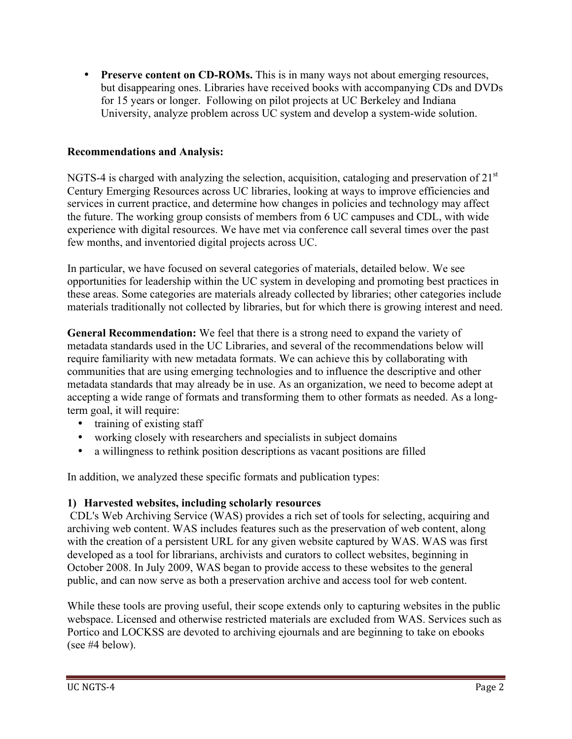• **Preserve content on CD-ROMs.** This is in many ways not about emerging resources, but disappearing ones. Libraries have received books with accompanying CDs and DVDs for 15 years or longer. Following on pilot projects at UC Berkeley and Indiana University, analyze problem across UC system and develop a system-wide solution.

## **Recommendations and Analysis:**

NGTS-4 is charged with analyzing the selection, acquisition, cataloging and preservation of  $21<sup>st</sup>$ Century Emerging Resources across UC libraries, looking at ways to improve efficiencies and services in current practice, and determine how changes in policies and technology may affect the future. The working group consists of members from 6 UC campuses and CDL, with wide experience with digital resources. We have met via conference call several times over the past few months, and inventoried digital projects across UC.

In particular, we have focused on several categories of materials, detailed below. We see opportunities for leadership within the UC system in developing and promoting best practices in these areas. Some categories are materials already collected by libraries; other categories include materials traditionally not collected by libraries, but for which there is growing interest and need.

**General Recommendation:** We feel that there is a strong need to expand the variety of metadata standards used in the UC Libraries, and several of the recommendations below will require familiarity with new metadata formats. We can achieve this by collaborating with communities that are using emerging technologies and to influence the descriptive and other metadata standards that may already be in use. As an organization, we need to become adept at accepting a wide range of formats and transforming them to other formats as needed. As a longterm goal, it will require:

- training of existing staff
- working closely with researchers and specialists in subject domains
- a willingness to rethink position descriptions as vacant positions are filled

In addition, we analyzed these specific formats and publication types:

#### **1) Harvested websites, including scholarly resources**

CDL's Web Archiving Service (WAS) provides a rich set of tools for selecting, acquiring and archiving web content. WAS includes features such as the preservation of web content, along with the creation of a persistent URL for any given website captured by WAS. WAS was first developed as a tool for librarians, archivists and curators to collect websites, beginning in October 2008. In July 2009, WAS began to provide access to these websites to the general public, and can now serve as both a preservation archive and access tool for web content.

While these tools are proving useful, their scope extends only to capturing websites in the public webspace. Licensed and otherwise restricted materials are excluded from WAS. Services such as Portico and LOCKSS are devoted to archiving ejournals and are beginning to take on ebooks (see #4 below).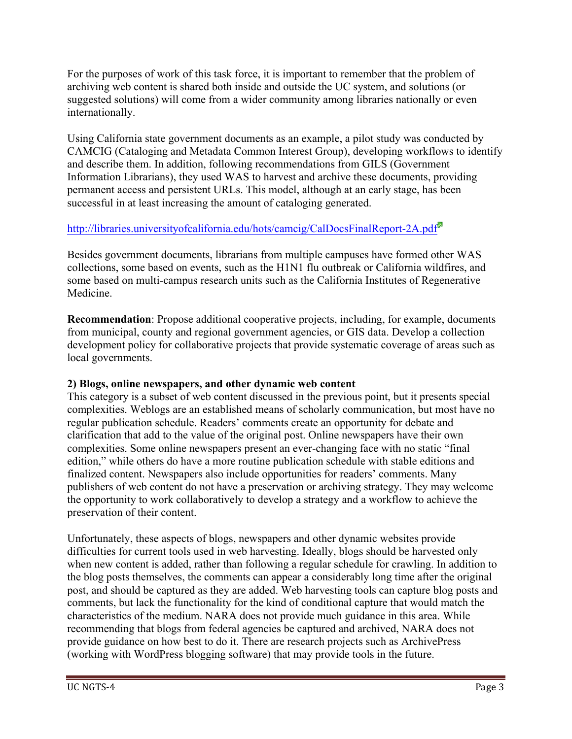For the purposes of work of this task force, it is important to remember that the problem of archiving web content is shared both inside and outside the UC system, and solutions (or suggested solutions) will come from a wider community among libraries nationally or even internationally.

Using California state government documents as an example, a pilot study was conducted by CAMCIG (Cataloging and Metadata Common Interest Group), developing workflows to identify and describe them. In addition, following recommendations from GILS (Government Information Librarians), they used WAS to harvest and archive these documents, providing permanent access and persistent URLs. This model, although at an early stage, has been successful in at least increasing the amount of cataloging generated.

# http://libraries.universityofcalifornia.edu/hots/camcig/CalDocsFinalReport-2A.pdf<sup>ta</sup>

Besides government documents, librarians from multiple campuses have formed other WAS collections, some based on events, such as the H1N1 flu outbreak or California wildfires, and some based on multi-campus research units such as the California Institutes of Regenerative Medicine.

**Recommendation**: Propose additional cooperative projects, including, for example, documents from municipal, county and regional government agencies, or GIS data. Develop a collection development policy for collaborative projects that provide systematic coverage of areas such as local governments.

#### **2) Blogs, online newspapers, and other dynamic web content**

This category is a subset of web content discussed in the previous point, but it presents special complexities. Weblogs are an established means of scholarly communication, but most have no regular publication schedule. Readers' comments create an opportunity for debate and clarification that add to the value of the original post. Online newspapers have their own complexities. Some online newspapers present an ever-changing face with no static "final edition," while others do have a more routine publication schedule with stable editions and finalized content. Newspapers also include opportunities for readers' comments. Many publishers of web content do not have a preservation or archiving strategy. They may welcome the opportunity to work collaboratively to develop a strategy and a workflow to achieve the preservation of their content.

Unfortunately, these aspects of blogs, newspapers and other dynamic websites provide difficulties for current tools used in web harvesting. Ideally, blogs should be harvested only when new content is added, rather than following a regular schedule for crawling. In addition to the blog posts themselves, the comments can appear a considerably long time after the original post, and should be captured as they are added. Web harvesting tools can capture blog posts and comments, but lack the functionality for the kind of conditional capture that would match the characteristics of the medium. NARA does not provide much guidance in this area. While recommending that blogs from federal agencies be captured and archived, NARA does not provide guidance on how best to do it. There are research projects such as ArchivePress (working with WordPress blogging software) that may provide tools in the future.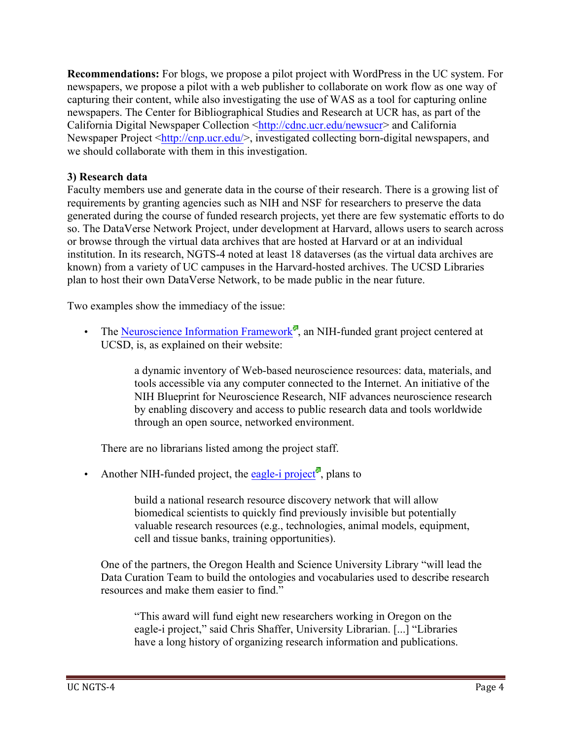**Recommendations:** For blogs, we propose a pilot project with WordPress in the UC system. For newspapers, we propose a pilot with a web publisher to collaborate on work flow as one way of capturing their content, while also investigating the use of WAS as a tool for capturing online newspapers. The Center for Bibliographical Studies and Research at UCR has, as part of the California Digital Newspaper Collection <http://cdnc.ucr.edu/newsucr> and California Newspaper Project <http://cnp.ucr.edu/>, investigated collecting born-digital newspapers, and we should collaborate with them in this investigation.

#### **3) Research data**

Faculty members use and generate data in the course of their research. There is a growing list of requirements by granting agencies such as NIH and NSF for researchers to preserve the data generated during the course of funded research projects, yet there are few systematic efforts to do so. The DataVerse Network Project, under development at Harvard, allows users to search across or browse through the virtual data archives that are hosted at Harvard or at an individual institution. In its research, NGTS-4 noted at least 18 dataverses (as the virtual data archives are known) from a variety of UC campuses in the Harvard-hosted archives. The UCSD Libraries plan to host their own DataVerse Network, to be made public in the near future.

Two examples show the immediacy of the issue:

• The Neuroscience Information Framework<sup> $\blacksquare$ </sup>, an NIH-funded grant project centered at UCSD, is, as explained on their website:

> a dynamic inventory of Web-based neuroscience resources: data, materials, and tools accessible via any computer connected to the Internet. An initiative of the NIH Blueprint for Neuroscience Research, NIF advances neuroscience research by enabling discovery and access to public research data and tools worldwide through an open source, networked environment.

There are no librarians listed among the project staff.

• Another NIH-funded project, the eagle-i project<sup> $\alpha$ </sup>, plans to

build a national research resource discovery network that will allow biomedical scientists to quickly find previously invisible but potentially valuable research resources (e.g., technologies, animal models, equipment, cell and tissue banks, training opportunities).

One of the partners, the Oregon Health and Science University Library "will lead the Data Curation Team to build the ontologies and vocabularies used to describe research resources and make them easier to find."

"This award will fund eight new researchers working in Oregon on the eagle-i project," said Chris Shaffer, University Librarian. [...] "Libraries have a long history of organizing research information and publications.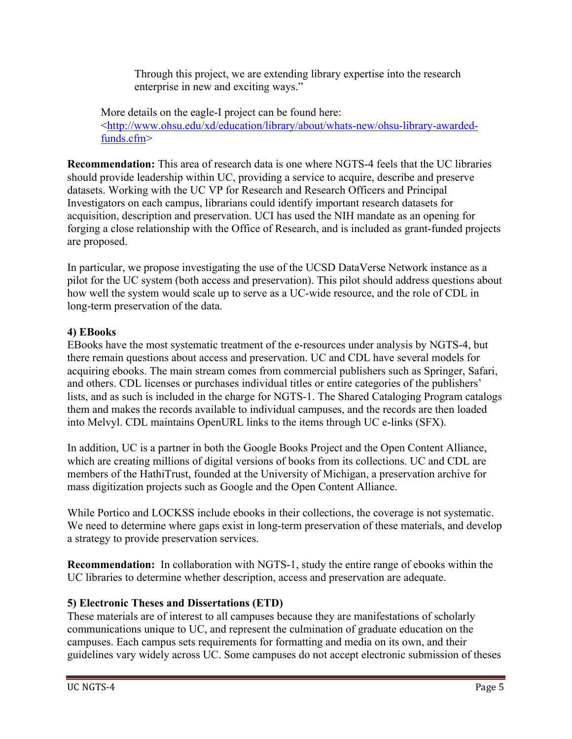Through this project, we are extending library expertise into the research enterprise in new and exciting ways."

More details on the eagle-I project can be found here: <http://www.ohsu.edu/xd/education/library/about/whats-new/ohsu-library-awardedfunds.cfm>

**Recommendation:** This area of research data is one where NGTS-4 feels that the UC libraries should provide leadership within UC, providing a service to acquire, describe and preserve datasets. Working with the UC VP for Research and Research Officers and Principal Investigators on each campus, librarians could identify important research datasets for acquisition, description and preservation. UCI has used the NIH mandate as an opening for forging a close relationship with the Office of Research, and is included as grant-funded projects are proposed.

In particular, we propose investigating the use of the UCSD DataVerse Network instance as a pilot for the UC system (both access and preservation). This pilot should address questions about how well the system would scale up to serve as a UC-wide resource, and the role of CDL in long-term preservation of the data.

## **4) EBooks**

EBooks have the most systematic treatment of the e-resources under analysis by NGTS-4, but there remain questions about access and preservation. UC and CDL have several models for acquiring ebooks. The main stream comes from commercial publishers such as Springer, Safari, and others. CDL licenses or purchases individual titles or entire categories of the publishers' lists, and as such is included in the charge for NGTS-1. The Shared Cataloging Program catalogs them and makes the records available to individual campuses, and the records are then loaded into Melvyl. CDL maintains OpenURL links to the items through UC e-links (SFX).

In addition, UC is a partner in both the Google Books Project and the Open Content Alliance, which are creating millions of digital versions of books from its collections. UC and CDL are members of the HathiTrust, founded at the University of Michigan, a preservation archive for mass digitization projects such as Google and the Open Content Alliance.

While Portico and LOCKSS include ebooks in their collections, the coverage is not systematic. We need to determine where gaps exist in long-term preservation of these materials, and develop a strategy to provide preservation services.

**Recommendation:** In collaboration with NGTS-1, study the entire range of ebooks within the UC libraries to determine whether description, access and preservation are adequate.

#### **5) Electronic Theses and Dissertations (ETD)**

These materials are of interest to all campuses because they are manifestations of scholarly communications unique to UC, and represent the culmination of graduate education on the campuses. Each campus sets requirements for formatting and media on its own, and their guidelines vary widely across UC. Some campuses do not accept electronic submission of theses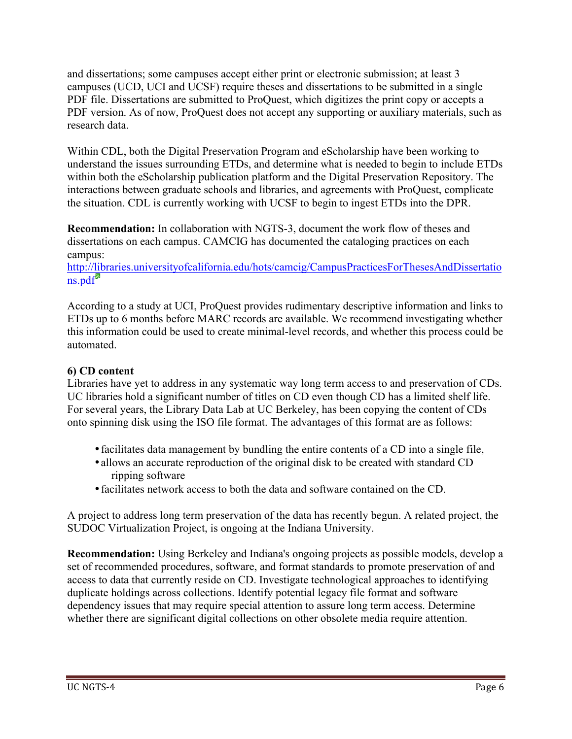and dissertations; some campuses accept either print or electronic submission; at least 3 campuses (UCD, UCI and UCSF) require theses and dissertations to be submitted in a single PDF file. Dissertations are submitted to ProQuest, which digitizes the print copy or accepts a PDF version. As of now, ProQuest does not accept any supporting or auxiliary materials, such as research data.

Within CDL, both the Digital Preservation Program and eScholarship have been working to understand the issues surrounding ETDs, and determine what is needed to begin to include ETDs within both the eScholarship publication platform and the Digital Preservation Repository. The interactions between graduate schools and libraries, and agreements with ProQuest, complicate the situation. CDL is currently working with UCSF to begin to ingest ETDs into the DPR.

**Recommendation:** In collaboration with NGTS-3, document the work flow of theses and dissertations on each campus. CAMCIG has documented the cataloging practices on each campus:

http://libraries.universityofcalifornia.edu/hots/camcig/CampusPracticesForThesesAndDissertatio ns.pdf

According to a study at UCI, ProQuest provides rudimentary descriptive information and links to ETDs up to 6 months before MARC records are available. We recommend investigating whether this information could be used to create minimal-level records, and whether this process could be automated.

## **6) CD content**

Libraries have yet to address in any systematic way long term access to and preservation of CDs. UC libraries hold a significant number of titles on CD even though CD has a limited shelf life. For several years, the Library Data Lab at UC Berkeley, has been copying the content of CDs onto spinning disk using the ISO file format. The advantages of this format are as follows:

- •facilitates data management by bundling the entire contents of a CD into a single file,
- allows an accurate reproduction of the original disk to be created with standard CD ripping software
- •facilitates network access to both the data and software contained on the CD.

A project to address long term preservation of the data has recently begun. A related project, the SUDOC Virtualization Project, is ongoing at the Indiana University.

**Recommendation:** Using Berkeley and Indiana's ongoing projects as possible models, develop a set of recommended procedures, software, and format standards to promote preservation of and access to data that currently reside on CD. Investigate technological approaches to identifying duplicate holdings across collections. Identify potential legacy file format and software dependency issues that may require special attention to assure long term access. Determine whether there are significant digital collections on other obsolete media require attention.